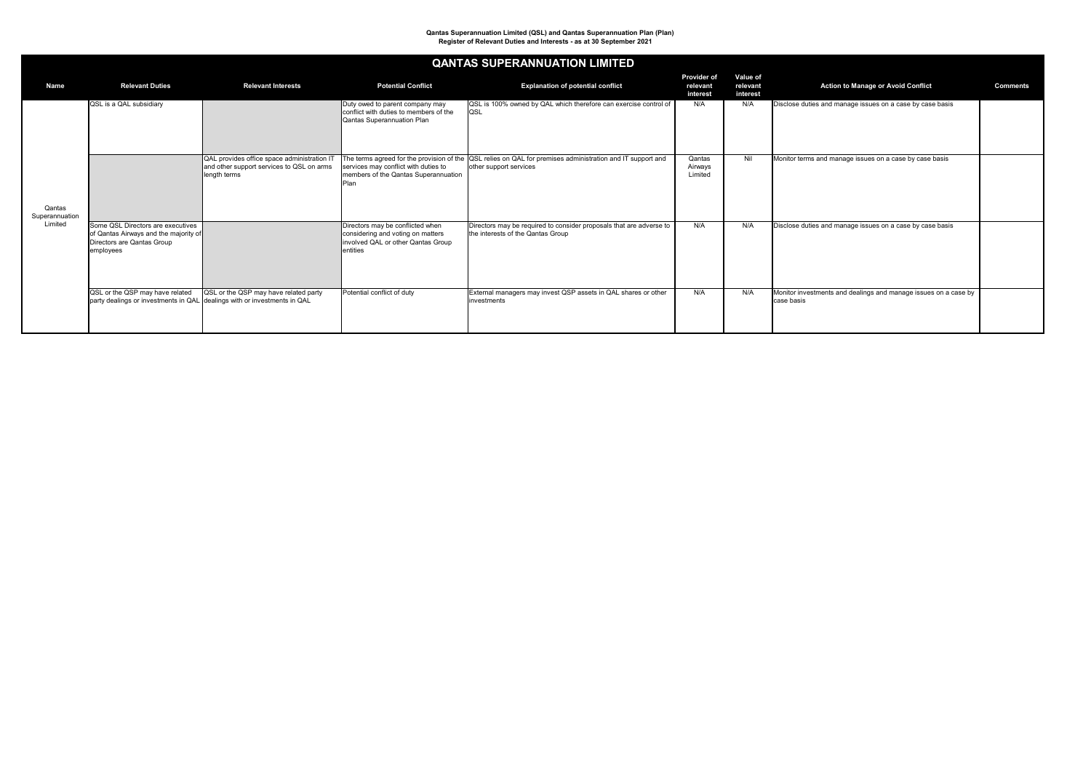

|                          |                                                                                                                       |                                                                                                          |                                                                                                                         | QANTAS SUPERANNUATION LIMITED                                                                                                           |                                            |                                         |                                                                               |  |
|--------------------------|-----------------------------------------------------------------------------------------------------------------------|----------------------------------------------------------------------------------------------------------|-------------------------------------------------------------------------------------------------------------------------|-----------------------------------------------------------------------------------------------------------------------------------------|--------------------------------------------|-----------------------------------------|-------------------------------------------------------------------------------|--|
| <b>Name</b>              | <b>Relevant Duties</b>                                                                                                | <b>Relevant Interests</b>                                                                                | <b>Potential Conflict</b>                                                                                               | <b>Explanation of potential conflict</b>                                                                                                | <b>Provider of</b><br>relevant<br>interest | <b>Value of</b><br>relevant<br>interest | <b>Action to Manage or Avoid Conflict</b>                                     |  |
|                          | <b>QSL</b> is a QAL subsidiary                                                                                        |                                                                                                          | Duty owed to parent company may<br>conflict with duties to members of the<br>Qantas Superannuation Plan                 | QSL is 100% owned by QAL which therefore can exercise control of<br>QSL                                                                 | N/A                                        | N/A                                     | Disclose duties and manage issues on a case by case basis                     |  |
| Qantas<br>Superannuation |                                                                                                                       | QAL provides office space administration IT<br>and other support services to QSL on arms<br>length terms | services may conflict with duties to<br>members of the Qantas Superannuation                                            | The terms agreed for the provision of the $ QSL$ relies on QAL for premises administration and IT support and<br>other support services | Qantas<br>Airways<br>Limited               | Nil                                     | Monitor terms and manage issues on a case by case basis                       |  |
| Limited                  | Some QSL Directors are executives<br>of Qantas Airways and the majority of<br>Directors are Qantas Group<br>employees |                                                                                                          | Directors may be conflicted when<br>considering and voting on matters<br>Involved QAL or other Qantas Group<br>entities | Directors may be required to consider proposals that are adverse to<br>the interests of the Qantas Group                                | N/A                                        | N/A                                     | Disclose duties and manage issues on a case by case basis                     |  |
|                          | QSL or the QSP may have related<br>party dealings or investments in QAL dealings with or investments in QAL           | QSL or the QSP may have related party                                                                    | Potential conflict of duty                                                                                              | External managers may invest QSP assets in QAL shares or other<br>investments                                                           | N/A                                        | N/A                                     | Monitor investments and dealings and manage issues on a case by<br>case basis |  |

# **QANTAS SUPERANNUATION LIMITED**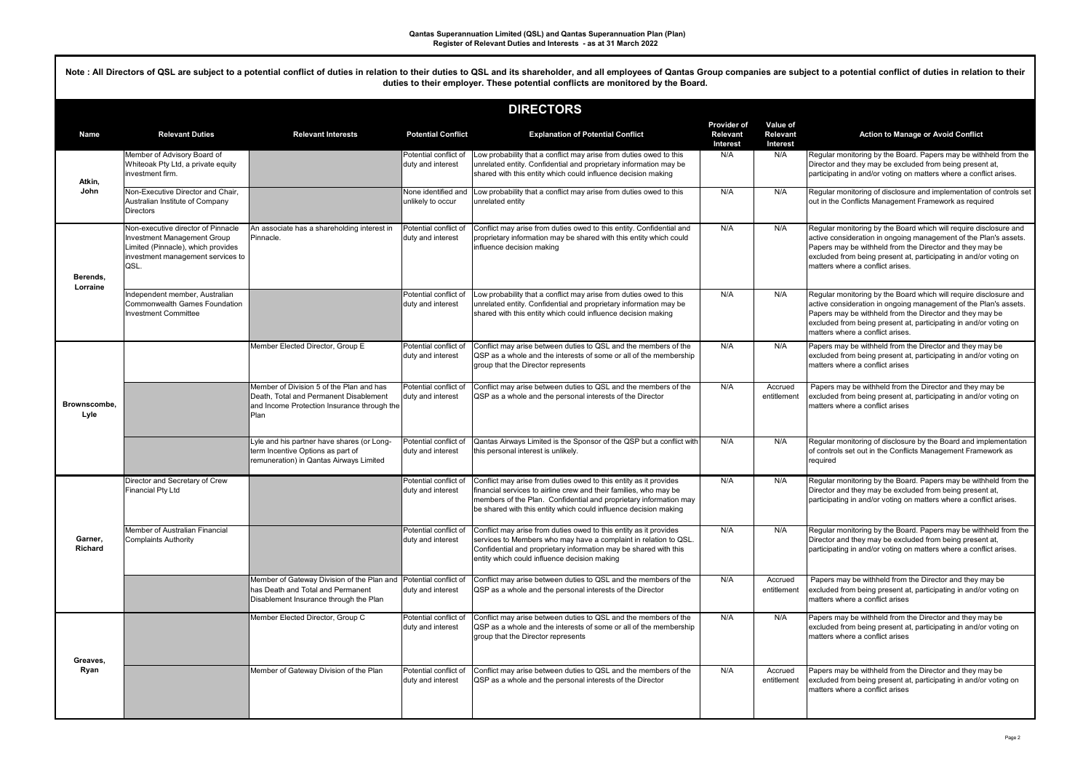Note : All Directors of QSL are subject to a potential conflict of duties in relation to their duties to QSL and its shareholder, and all employees of Qantas Group companies are subject to a potential conflict of duties in **duties to their employer. These potential conflicts are monitored by the Board.**

| <b>DIRECTORS</b>          |                                                                                                                                                      |                                                                                                                                                   |                                            |                                                                                                                                                                                                                                                                                 |                                                          |                                                       |                                                                                                                                                                                                                                                                                                             |  |  |
|---------------------------|------------------------------------------------------------------------------------------------------------------------------------------------------|---------------------------------------------------------------------------------------------------------------------------------------------------|--------------------------------------------|---------------------------------------------------------------------------------------------------------------------------------------------------------------------------------------------------------------------------------------------------------------------------------|----------------------------------------------------------|-------------------------------------------------------|-------------------------------------------------------------------------------------------------------------------------------------------------------------------------------------------------------------------------------------------------------------------------------------------------------------|--|--|
| <b>Name</b>               | <b>Relevant Duties</b>                                                                                                                               | <b>Relevant Interests</b>                                                                                                                         | <b>Potential Conflict</b>                  | <b>Explanation of Potential Conflict</b>                                                                                                                                                                                                                                        | <b>Provider of</b><br><b>Relevant</b><br><b>Interest</b> | <b>Value of</b><br><b>Relevant</b><br><b>Interest</b> | <b>Action to Manage or Avoid Conflict</b>                                                                                                                                                                                                                                                                   |  |  |
| Atkin,                    | Member of Advisory Board of<br>Whiteoak Pty Ltd, a private equity<br>investment firm.                                                                |                                                                                                                                                   | Potential conflict of<br>duty and interest | Low probability that a conflict may arise from duties owed to this<br>unrelated entity. Confidential and proprietary information may be<br>shared with this entity which could influence decision making                                                                        | N/A                                                      | N/A                                                   | Regular monitoring by the Board. Papers may be withheld from the<br>Director and they may be excluded from being present at,<br>participating in and/or voting on matters where a conflict arises.                                                                                                          |  |  |
| John                      | Non-Executive Director and Chair.<br>Australian Institute of Company<br><b>Directors</b>                                                             |                                                                                                                                                   | None identified and<br>unlikely to occur   | Low probability that a conflict may arise from duties owed to this<br>unrelated entity                                                                                                                                                                                          | N/A                                                      | N/A                                                   | Regular monitoring of disclosure and implementation of controls set<br>out in the Conflicts Management Framework as required                                                                                                                                                                                |  |  |
| Berends,                  | Non-executive director of Pinnacle<br>Investment Management Group<br>Limited (Pinnacle), which provides<br>investment management services to<br>QSL. | An associate has a shareholding interest in<br>Pinnacle.                                                                                          | Potential conflict of<br>duty and interest | Conflict may arise from duties owed to this entity. Confidential and<br>proprietary information may be shared with this entity which could<br>influence decision making                                                                                                         | N/A                                                      | N/A                                                   | Regular monitoring by the Board which will require disclosure and<br>active consideration in ongoing management of the Plan's assets.<br>Papers may be withheld from the Director and they may be<br>excluded from being present at, participating in and/or voting on<br>Imatters where a conflict arises. |  |  |
| Lorraine                  | Independent member, Australian<br><b>Commonwealth Games Foundation</b><br>Investment Committee                                                       |                                                                                                                                                   | Potential conflict of<br>duty and interest | Low probability that a conflict may arise from duties owed to this<br>unrelated entity. Confidential and proprietary information may be<br>shared with this entity which could influence decision making                                                                        | N/A                                                      | N/A                                                   | Regular monitoring by the Board which will require disclosure and<br>active consideration in ongoing management of the Plan's assets.<br>Papers may be withheld from the Director and they may be<br>excluded from being present at, participating in and/or voting on<br>matters where a conflict arises.  |  |  |
|                           |                                                                                                                                                      | Member Elected Director, Group E                                                                                                                  | Potential conflict of<br>duty and interest | Conflict may arise between duties to QSL and the members of the<br>QSP as a whole and the interests of some or all of the membership<br>group that the Director represents                                                                                                      | N/A                                                      | N/A                                                   | Papers may be withheld from the Director and they may be<br>excluded from being present at, participating in and/or voting on<br>matters where a conflict arises                                                                                                                                            |  |  |
| Brownscombe.<br>Lyle      |                                                                                                                                                      | Member of Division 5 of the Plan and has<br>Death, Total and Permanent Disablement<br>and Income Protection Insurance through the<br><b>IPlan</b> | Potential conflict of<br>duty and interest | Conflict may arise between duties to QSL and the members of the<br>QSP as a whole and the personal interests of the Director                                                                                                                                                    | N/A                                                      | Accrued<br>entitlement                                | Papers may be withheld from the Director and they may be<br>excluded from being present at, participating in and/or voting on<br>Imatters where a conflict arises                                                                                                                                           |  |  |
|                           |                                                                                                                                                      | Lyle and his partner have shares (or Long-<br>term Incentive Options as part of<br>remuneration) in Qantas Airways Limited                        | Potential conflict of<br>duty and interest | Qantas Airways Limited is the Sponsor of the QSP but a conflict with<br>this personal interest is unlikely.                                                                                                                                                                     | N/A                                                      | N/A                                                   | Regular monitoring of disclosure by the Board and implementation<br>of controls set out in the Conflicts Management Framework as<br>required                                                                                                                                                                |  |  |
|                           | Director and Secretary of Crew<br><b>Financial Pty Ltd</b>                                                                                           |                                                                                                                                                   | Potential conflict of<br>duty and interest | Conflict may arise from duties owed to this entity as it provides<br>financial services to airline crew and their families, who may be<br>members of the Plan. Confidential and proprietary information may<br>be shared with this entity which could influence decision making | N/A                                                      | N/A                                                   | Regular monitoring by the Board. Papers may be withheld from the<br>Director and they may be excluded from being present at,<br>participating in and/or voting on matters where a conflict arises.                                                                                                          |  |  |
| Garner,<br><b>Richard</b> | Member of Australian Financial<br><b>Complaints Authority</b>                                                                                        |                                                                                                                                                   | Potential conflict of<br>duty and interest | Conflict may arise from duties owed to this entity as it provides<br>services to Members who may have a complaint in relation to QSL.<br>Confidential and proprietary information may be shared with this<br>entity which could influence decision making                       | N/A                                                      | N/A                                                   | Regular monitoring by the Board. Papers may be withheld from the<br>Director and they may be excluded from being present at,<br>participating in and/or voting on matters where a conflict arises.                                                                                                          |  |  |
|                           |                                                                                                                                                      | Member of Gateway Division of the Plan and<br>has Death and Total and Permanent<br>Disablement Insurance through the Plan                         | Potential conflict of<br>duty and interest | Conflict may arise between duties to QSL and the members of the<br>QSP as a whole and the personal interests of the Director                                                                                                                                                    | N/A                                                      | Accrued<br>entitlement                                | Papers may be withheld from the Director and they may be<br>excluded from being present at, participating in and/or voting on<br>matters where a conflict arises                                                                                                                                            |  |  |
| Greaves,                  |                                                                                                                                                      | Member Elected Director, Group C                                                                                                                  | Potential conflict of<br>duty and interest | Conflict may arise between duties to QSL and the members of the<br>QSP as a whole and the interests of some or all of the membership<br>group that the Director represents                                                                                                      | N/A                                                      | N/A                                                   | Papers may be withheld from the Director and they may be<br>excluded from being present at, participating in and/or voting on<br>Imatters where a conflict arises                                                                                                                                           |  |  |
| Ryan                      |                                                                                                                                                      | Member of Gateway Division of the Plan                                                                                                            | Potential conflict of<br>duty and interest | Conflict may arise between duties to QSL and the members of the<br>QSP as a whole and the personal interests of the Director                                                                                                                                                    | N/A                                                      | Accrued<br>entitlement                                | Papers may be withheld from the Director and they may be<br>excluded from being present at, participating in and/or voting on<br>matters where a conflict arises                                                                                                                                            |  |  |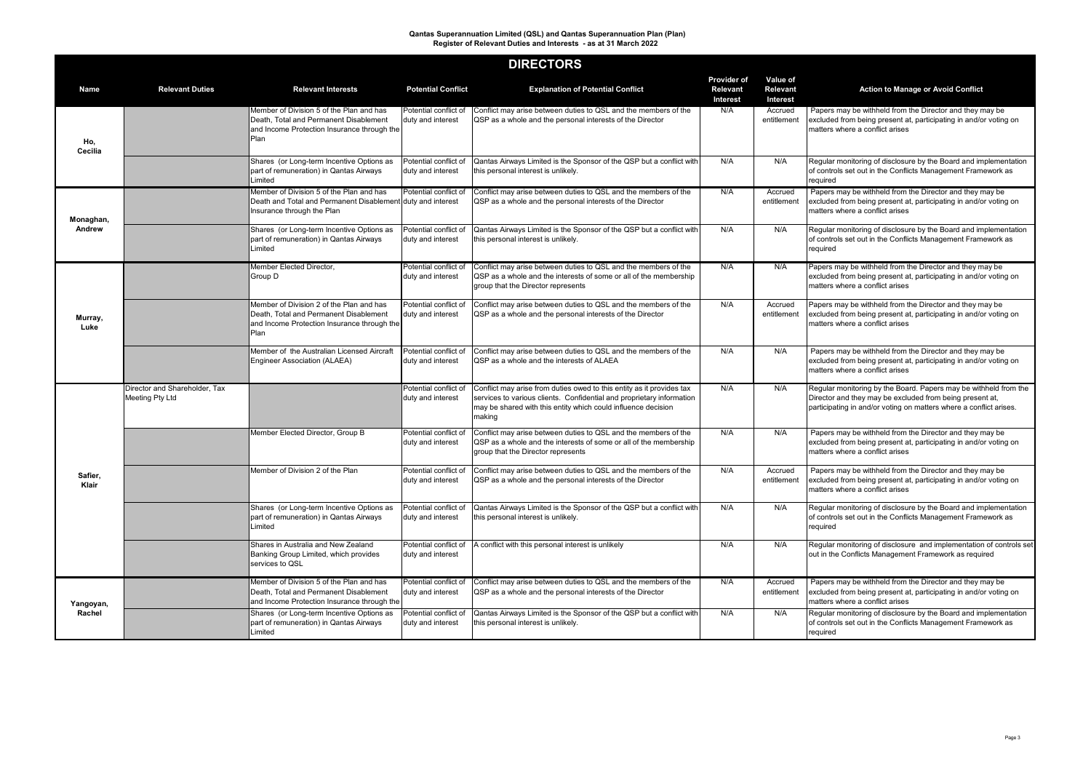## **DIRECTORS**

|                         |                                                         |                                                                                                                                                  |                                            | <b>DINEY I UNO</b>                                                                                                                                                                                                        |                                                          |                                                       |                                                                                                                                                                                                    |
|-------------------------|---------------------------------------------------------|--------------------------------------------------------------------------------------------------------------------------------------------------|--------------------------------------------|---------------------------------------------------------------------------------------------------------------------------------------------------------------------------------------------------------------------------|----------------------------------------------------------|-------------------------------------------------------|----------------------------------------------------------------------------------------------------------------------------------------------------------------------------------------------------|
| <b>Name</b>             | <b>Relevant Duties</b>                                  | <b>Relevant Interests</b>                                                                                                                        | <b>Potential Conflict</b>                  | <b>Explanation of Potential Conflict</b>                                                                                                                                                                                  | <b>Provider of</b><br><b>Relevant</b><br><b>Interest</b> | <b>Value of</b><br><b>Relevant</b><br><b>Interest</b> | <b>Action to Manage or Avoid Conflict</b>                                                                                                                                                          |
| Ho,<br><b>Cecilia</b>   |                                                         | Member of Division 5 of the Plan and has<br>Death, Total and Permanent Disablement<br>and Income Protection Insurance through the<br>Plan        | Potential conflict of<br>duty and interest | Conflict may arise between duties to QSL and the members of the<br>QSP as a whole and the personal interests of the Director                                                                                              | N/A                                                      | Accrued<br>entitlement                                | Papers may be withheld from the Director and they may be<br>excluded from being present at, participating in and/or voting on<br>matters where a conflict arises                                   |
|                         |                                                         | Shares (or Long-term Incentive Options as<br>part of remuneration) in Qantas Airways<br>Limited                                                  | Potential conflict of<br>duty and interest | Qantas Airways Limited is the Sponsor of the QSP but a conflict with<br>this personal interest is unlikely.                                                                                                               | N/A                                                      | N/A                                                   | Regular monitoring of disclosure by the Board and implementation<br>of controls set out in the Conflicts Management Framework as<br>required                                                       |
| Monaghan,               |                                                         | Member of Division 5 of the Plan and has<br>Death and Total and Permanent Disablement duty and interest<br>Insurance through the Plan            | Potential conflict of                      | Conflict may arise between duties to QSL and the members of the<br>QSP as a whole and the personal interests of the Director                                                                                              | N/A                                                      | Accrued<br>entitlement                                | Papers may be withheld from the Director and they may be<br>excluded from being present at, participating in and/or voting on<br>matters where a conflict arises                                   |
| <b>Andrew</b>           |                                                         | Shares (or Long-term Incentive Options as<br>part of remuneration) in Qantas Airways<br>Limited                                                  | Potential conflict of<br>duty and interest | Qantas Airways Limited is the Sponsor of the QSP but a conflict with<br>this personal interest is unlikely.                                                                                                               | N/A                                                      | N/A                                                   | Regular monitoring of disclosure by the Board and implementation<br>of controls set out in the Conflicts Management Framework as<br>required                                                       |
|                         |                                                         | Member Elected Director,<br>Group D                                                                                                              | Potential conflict of<br>duty and interest | Conflict may arise between duties to QSL and the members of the<br>QSP as a whole and the interests of some or all of the membership<br>group that the Director represents                                                | N/A                                                      | N/A                                                   | Papers may be withheld from the Director and they may be<br>excluded from being present at, participating in and/or voting on<br>matters where a conflict arises                                   |
| Murray,<br>Luke         |                                                         | Member of Division 2 of the Plan and has<br>Death, Total and Permanent Disablement<br>and Income Protection Insurance through the<br><b>Plan</b> | Potential conflict of<br>duty and interest | Conflict may arise between duties to QSL and the members of the<br>QSP as a whole and the personal interests of the Director                                                                                              | N/A                                                      | Accrued<br>entitlement                                | Papers may be withheld from the Director and they may be<br>excluded from being present at, participating in and/or voting on<br>matters where a conflict arises                                   |
|                         |                                                         | Member of the Australian Licensed Aircraft<br><b>Engineer Association (ALAEA)</b>                                                                | Potential conflict of<br>duty and interest | Conflict may arise between duties to QSL and the members of the<br><b>IQSP</b> as a whole and the interests of ALAEA                                                                                                      | N/A                                                      | N/A                                                   | Papers may be withheld from the Director and they may be<br>excluded from being present at, participating in and/or voting on<br>Imatters where a conflict arises                                  |
|                         | <b>Director and Shareholder, Tax</b><br>Meeting Pty Ltd |                                                                                                                                                  | Potential conflict of<br>duty and interest | Conflict may arise from duties owed to this entity as it provides tax<br>services to various clients. Confidential and proprietary information<br>may be shared with this entity which could influence decision<br>making | N/A                                                      | N/A                                                   | Regular monitoring by the Board. Papers may be withheld from the<br>Director and they may be excluded from being present at,<br>participating in and/or voting on matters where a conflict arises. |
|                         |                                                         | Member Elected Director, Group B                                                                                                                 | Potential conflict of<br>duty and interest | Conflict may arise between duties to QSL and the members of the<br>QSP as a whole and the interests of some or all of the membership<br>group that the Director represents                                                | N/A                                                      | N/A                                                   | Papers may be withheld from the Director and they may be<br>excluded from being present at, participating in and/or voting on<br>matters where a conflict arises                                   |
| Safier,<br><b>Klair</b> |                                                         | Member of Division 2 of the Plan                                                                                                                 | Potential conflict of<br>duty and interest | Conflict may arise between duties to QSL and the members of the<br>QSP as a whole and the personal interests of the Director                                                                                              | N/A                                                      | Accrued<br>entitlement                                | Papers may be withheld from the Director and they may be<br>excluded from being present at, participating in and/or voting on<br>matters where a conflict arises                                   |
|                         |                                                         | Shares (or Long-term Incentive Options as<br>part of remuneration) in Qantas Airways<br>Limited                                                  | Potential conflict of<br>duty and interest | Qantas Airways Limited is the Sponsor of the QSP but a conflict with<br>this personal interest is unlikely.                                                                                                               | N/A                                                      | N/A                                                   | Regular monitoring of disclosure by the Board and implementation<br>of controls set out in the Conflicts Management Framework as<br>required                                                       |
|                         |                                                         | Shares in Australia and New Zealand<br>Banking Group Limited, which provides<br>services to QSL                                                  | Potential conflict of<br>duty and interest | A conflict with this personal interest is unlikely                                                                                                                                                                        | N/A                                                      | N/A                                                   | Regular monitoring of disclosure and implementation of controls set<br>out in the Conflicts Management Framework as required                                                                       |
| Yangoyan,               |                                                         | Member of Division 5 of the Plan and has<br>Death, Total and Permanent Disablement<br>and Income Protection Insurance through the                | Potential conflict of<br>duty and interest | Conflict may arise between duties to QSL and the members of the<br>QSP as a whole and the personal interests of the Director                                                                                              | N/A                                                      | Accrued<br>entitlement                                | Papers may be withheld from the Director and they may be<br>excluded from being present at, participating in and/or voting on<br>matters where a conflict arises                                   |
| Rachel                  |                                                         | Shares (or Long-term Incentive Options as<br>part of remuneration) in Qantas Airways<br>Limited                                                  | Potential conflict of<br>duty and interest | Qantas Airways Limited is the Sponsor of the QSP but a conflict with<br>this personal interest is unlikely.                                                                                                               | N/A                                                      | N/A                                                   | Regular monitoring of disclosure by the Board and implementation<br>of controls set out in the Conflicts Management Framework as $\overline{\phantom{a}}$<br>required                              |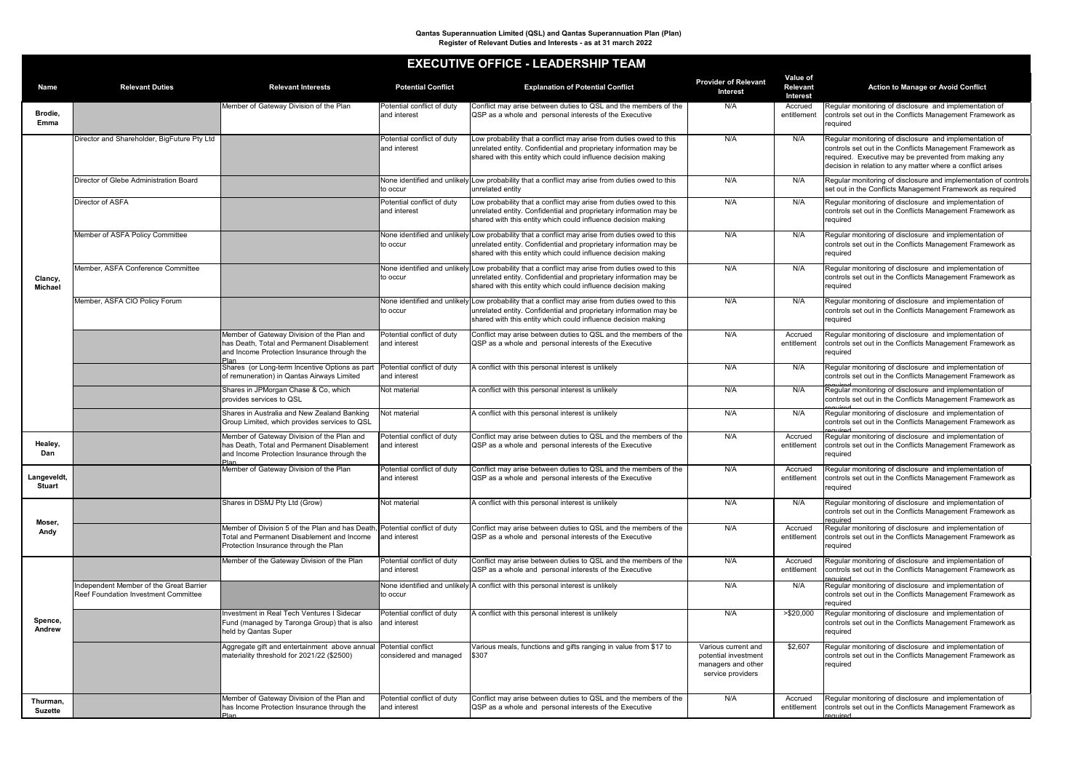|                              | <b>EXECUTIVE OFFICE - LEADERSHIP TEAM</b>                                              |                                                                                                                                                                   |                                             |                                                                                                                                                                                                                                       |                                                                                        |                                                       |                                                                                                                                                                                                                                           |  |  |  |  |
|------------------------------|----------------------------------------------------------------------------------------|-------------------------------------------------------------------------------------------------------------------------------------------------------------------|---------------------------------------------|---------------------------------------------------------------------------------------------------------------------------------------------------------------------------------------------------------------------------------------|----------------------------------------------------------------------------------------|-------------------------------------------------------|-------------------------------------------------------------------------------------------------------------------------------------------------------------------------------------------------------------------------------------------|--|--|--|--|
| <b>Name</b>                  | <b>Relevant Duties</b>                                                                 | <b>Relevant Interests</b>                                                                                                                                         | <b>Potential Conflict</b>                   | <b>Explanation of Potential Conflict</b>                                                                                                                                                                                              | <b>Provider of Relevant</b><br><b>Interest</b>                                         | <b>Value of</b><br><b>Relevant</b><br><b>Interest</b> | <b>Action to Manage or Avoid Conflict</b>                                                                                                                                                                                                 |  |  |  |  |
| Brodie,<br>Emma              |                                                                                        | Member of Gateway Division of the Plan                                                                                                                            | Potential conflict of duty<br>and interest  | Conflict may arise between duties to QSL and the members of the<br><b>QSP</b> as a whole and personal interests of the Executive                                                                                                      | N/A                                                                                    | Accrued<br>entitlement                                | Regular monitoring of disclosure and implementation of<br>controls set out in the Conflicts Management Framework as<br> required                                                                                                          |  |  |  |  |
|                              | Director and Shareholder, BigFuture Pty Ltd                                            |                                                                                                                                                                   | Potential conflict of duty<br>land interest | Low probability that a conflict may arise from duties owed to this<br>unrelated entity. Confidential and proprietary information may be<br>shared with this entity which could influence decision making                              | N/A                                                                                    | N/A                                                   | Regular monitoring of disclosure and implementation of<br>controls set out in the Conflicts Management Framework as<br>required. Executive may be prevented from making any<br>decision in relation to any matter where a conflict arises |  |  |  |  |
|                              | Director of Glebe Administration Board                                                 |                                                                                                                                                                   | ∣to occur                                   | None identified and unlikely Low probability that a conflict may arise from duties owed to this<br>unrelated entity                                                                                                                   | N/A                                                                                    | N/A                                                   | Regular monitoring of disclosure and implementation of controls<br>set out in the Conflicts Management Framework as required                                                                                                              |  |  |  |  |
|                              | Director of ASFA                                                                       |                                                                                                                                                                   | Potential conflict of duty<br>and interest  | Low probability that a conflict may arise from duties owed to this<br>unrelated entity. Confidential and proprietary information may be<br>shared with this entity which could influence decision making                              | N/A                                                                                    | N/A                                                   | Regular monitoring of disclosure and implementation of<br>controls set out in the Conflicts Management Framework as<br>required                                                                                                           |  |  |  |  |
|                              | Member of ASFA Policy Committee                                                        |                                                                                                                                                                   | ∣to occur                                   | None identified and unlikely Low probability that a conflict may arise from duties owed to this<br>unrelated entity. Confidential and proprietary information may be<br>shared with this entity which could influence decision making | N/A                                                                                    | N/A                                                   | Regular monitoring of disclosure and implementation of<br>controls set out in the Conflicts Management Framework as<br>required                                                                                                           |  |  |  |  |
| Clancy,<br>Michael           | Member, ASFA Conference Committee                                                      |                                                                                                                                                                   | to occur                                    | None identified and unlikely Low probability that a conflict may arise from duties owed to this<br>unrelated entity. Confidential and proprietary information may be<br>shared with this entity which could influence decision making | N/A                                                                                    | N/A                                                   | Regular monitoring of disclosure and implementation of<br>controls set out in the Conflicts Management Framework as<br>required                                                                                                           |  |  |  |  |
|                              | Member, ASFA CIO Policy Forum                                                          |                                                                                                                                                                   | to occur                                    | None identified and unlikely Low probability that a conflict may arise from duties owed to this<br>unrelated entity. Confidential and proprietary information may be<br>shared with this entity which could influence decision making | N/A                                                                                    | N/A                                                   | Regular monitoring of disclosure and implementation of<br>controls set out in the Conflicts Management Framework as<br>required                                                                                                           |  |  |  |  |
|                              |                                                                                        | Member of Gateway Division of the Plan and<br>has Death, Total and Permanent Disablement<br>and Income Protection Insurance through the<br>Plan                   | Potential conflict of duty<br>and interest  | Conflict may arise between duties to QSL and the members of the<br>QSP as a whole and personal interests of the Executive                                                                                                             | N/A                                                                                    | Accrued<br>entitlement                                | Regular monitoring of disclosure and implementation of<br>controls set out in the Conflicts Management Framework as<br>required                                                                                                           |  |  |  |  |
|                              |                                                                                        | Shares (or Long-term Incentive Options as part<br>of remuneration) in Qantas Airways Limited                                                                      | Potential conflict of duty<br>and interest  | A conflict with this personal interest is unlikely                                                                                                                                                                                    | N/A                                                                                    | N/A                                                   | Regular monitoring of disclosure and implementation of<br>controls set out in the Conflicts Management Framework as                                                                                                                       |  |  |  |  |
|                              |                                                                                        | Shares in JPMorgan Chase & Co, which<br>provides services to QSL                                                                                                  | Not material                                | A conflict with this personal interest is unlikely                                                                                                                                                                                    | N/A                                                                                    | N/A                                                   | Regular monitoring of disclosure and implementation of<br>controls set out in the Conflicts Management Framework as                                                                                                                       |  |  |  |  |
|                              |                                                                                        | Shares in Australia and New Zealand Banking<br>Group Limited, which provides services to QSL                                                                      | Not material                                | A conflict with this personal interest is unlikely                                                                                                                                                                                    | N/A                                                                                    | N/A                                                   | Regular monitoring of disclosure and implementation of<br>controls set out in the Conflicts Management Framework as                                                                                                                       |  |  |  |  |
| Healey,<br>Dan               |                                                                                        | Member of Gateway Division of the Plan and<br>has Death, Total and Permanent Disablement<br>and Income Protection Insurance through the                           | Potential conflict of duty<br>and interest  | Conflict may arise between duties to QSL and the members of the<br><b>QSP</b> as a whole and personal interests of the Executive                                                                                                      | N/A                                                                                    | Accrued<br>entitlement                                | Regular monitoring of disclosure and implementation of<br>controls set out in the Conflicts Management Framework as<br> required                                                                                                          |  |  |  |  |
| Langeveldt,<br><b>Stuart</b> |                                                                                        | Member of Gateway Division of the Plan                                                                                                                            | Potential conflict of duty<br>and interest  | Conflict may arise between duties to QSL and the members of the<br>QSP as a whole and personal interests of the Executive                                                                                                             | N/A                                                                                    | Accrued<br>entitlement                                | Regular monitoring of disclosure and implementation of<br>controls set out in the Conflicts Management Framework as<br>required                                                                                                           |  |  |  |  |
|                              |                                                                                        | Shares in DSMJ Pty Ltd (Grow)                                                                                                                                     | Not material                                | A conflict with this personal interest is unlikely                                                                                                                                                                                    | N/A                                                                                    | N/A                                                   | Regular monitoring of disclosure and implementation of<br>controls set out in the Conflicts Management Framework as<br>required                                                                                                           |  |  |  |  |
| Moser,<br>Andy               |                                                                                        | Member of Division 5 of the Plan and has Death, Potential conflict of duty<br>Total and Permanent Disablement and Income<br>Protection Insurance through the Plan | and interest                                | Conflict may arise between duties to QSL and the members of the<br><b>QSP</b> as a whole and personal interests of the Executive                                                                                                      | N/A                                                                                    | Accrued<br>entitlement                                | Regular monitoring of disclosure and implementation of<br>controls set out in the Conflicts Management Framework as<br>required                                                                                                           |  |  |  |  |
|                              |                                                                                        | Member of the Gateway Division of the Plan                                                                                                                        | Potential conflict of duty<br>land interest | Conflict may arise between duties to QSL and the members of the<br><b>QSP</b> as a whole and personal interests of the Executive                                                                                                      | N/A                                                                                    | Accrued<br>entitlement                                | Regular monitoring of disclosure and implementation of<br>controls set out in the Conflicts Management Framework as<br>reguired                                                                                                           |  |  |  |  |
| Spence,<br><b>Andrew</b>     | Independent Member of the Great Barrier<br><b>Reef Foundation Investment Committee</b> |                                                                                                                                                                   | to occur                                    | None identified and unlikely $\vert A$ conflict with this personal interest is unlikely                                                                                                                                               | N/A                                                                                    | N/A                                                   | Regular monitoring of disclosure and implementation of<br>controls set out in the Conflicts Management Framework as<br>required                                                                                                           |  |  |  |  |
|                              |                                                                                        | Investment in Real Tech Ventures I Sidecar<br>Fund (managed by Taronga Group) that is also<br>held by Qantas Super                                                | Potential conflict of duty<br>and interest  | A conflict with this personal interest is unlikely                                                                                                                                                                                    | N/A                                                                                    | > \$20,000                                            | Regular monitoring of disclosure and implementation of<br>controls set out in the Conflicts Management Framework as<br>required                                                                                                           |  |  |  |  |
|                              |                                                                                        | Aggregate gift and entertainment above annual Potential conflict<br>materiality threshold for 2021/22 (\$2500)                                                    | considered and managed                      | Various meals, functions and gifts ranging in value from \$17 to<br>\$307                                                                                                                                                             | Various current and<br>potential investment<br>managers and other<br>service providers | \$2,607                                               | Regular monitoring of disclosure and implementation of<br>controls set out in the Conflicts Management Framework as<br>required                                                                                                           |  |  |  |  |
| Thurman,<br><b>Suzette</b>   |                                                                                        | Member of Gateway Division of the Plan and<br>has Income Protection Insurance through the                                                                         | Potential conflict of duty<br>and interest  | Conflict may arise between duties to QSL and the members of the<br><b>QSP</b> as a whole and personal interests of the Executive                                                                                                      | N/A                                                                                    | Accrued<br>entitlement                                | Regular monitoring of disclosure and implementation of<br>controls set out in the Conflicts Management Framework as<br>heniunen                                                                                                           |  |  |  |  |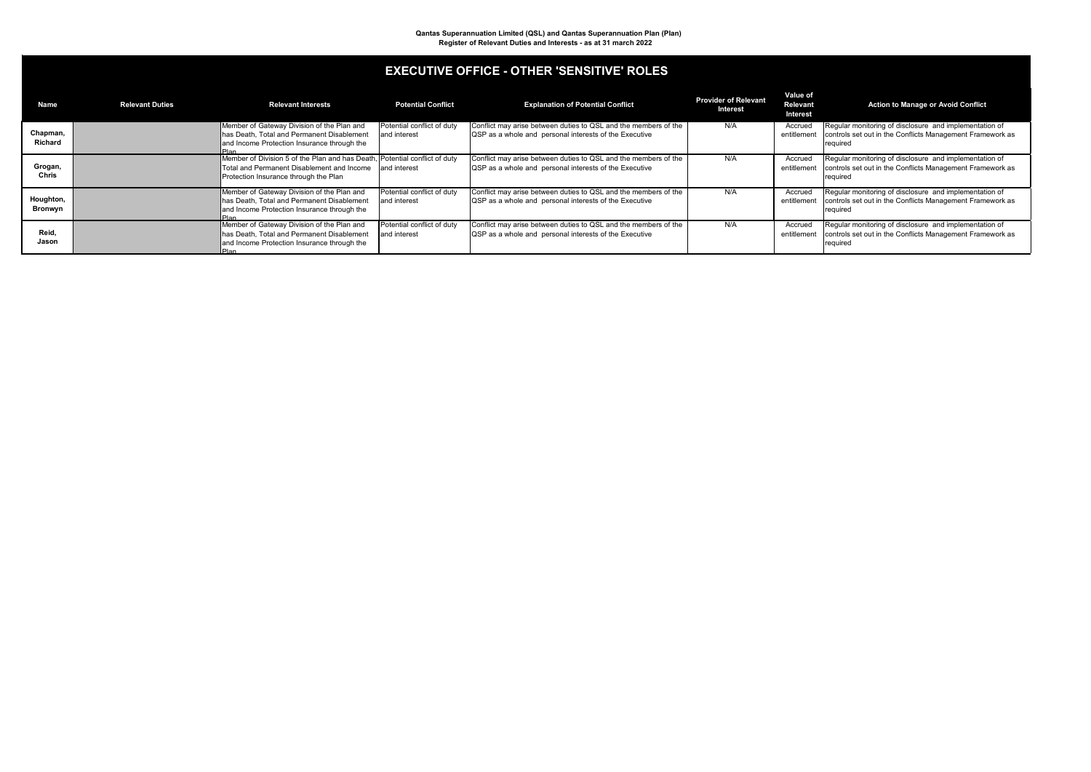| <b>Name</b>                | <b>Relevant Duties</b> | <b>Relevant Interests</b>                                                                                                                                         | <b>Potential Conflict</b>                  | <b>Explanation of Potential Conflict</b>                                                                                         | <b>Provider of Relevant</b><br><b>Interest</b> | <b>Value of</b><br><b>Relevant</b><br><b>Interest</b> | Action to Manage or Avoid Conflict                                                                                              |
|----------------------------|------------------------|-------------------------------------------------------------------------------------------------------------------------------------------------------------------|--------------------------------------------|----------------------------------------------------------------------------------------------------------------------------------|------------------------------------------------|-------------------------------------------------------|---------------------------------------------------------------------------------------------------------------------------------|
| Chapman,<br><b>Richard</b> |                        | Member of Gateway Division of the Plan and<br>has Death, Total and Permanent Disablement<br>and Income Protection Insurance through the                           | Potential conflict of duty<br>and interest | Conflict may arise between duties to QSL and the members of the<br><b>QSP</b> as a whole and personal interests of the Executive | N/A                                            | Accrued<br>entitlement                                | Regular monitoring of disclosure and implementation of<br>controls set out in the Conflicts Management Framework as<br>required |
| Grogan,<br><b>Chris</b>    |                        | Member of Division 5 of the Plan and has Death, Potential conflict of duty<br>Total and Permanent Disablement and Income<br>Protection Insurance through the Plan | and interest                               | Conflict may arise between duties to QSL and the members of the<br><b>QSP</b> as a whole and personal interests of the Executive | N/A                                            | Accrued<br>entitlement                                | Regular monitoring of disclosure and implementation of<br>controls set out in the Conflicts Management Framework as<br>required |
| Houghton,<br>Bronwyn       |                        | Member of Gateway Division of the Plan and<br>has Death, Total and Permanent Disablement<br>and Income Protection Insurance through the<br>Plan.                  | Potential conflict of duty<br>and interest | Conflict may arise between duties to QSL and the members of the<br><b>QSP</b> as a whole and personal interests of the Executive | N/A                                            | Accrued<br>entitlement                                | Regular monitoring of disclosure and implementation of<br>controls set out in the Conflicts Management Framework as<br>required |
| Reid,<br>Jason             |                        | Member of Gateway Division of the Plan and<br>has Death, Total and Permanent Disablement<br>and Income Protection Insurance through the<br>IPlan.                 | Potential conflict of duty<br>and interest | Conflict may arise between duties to QSL and the members of the<br><b>QSP</b> as a whole and personal interests of the Executive | N/A                                            | Accrued<br>entitlement                                | Regular monitoring of disclosure and implementation of<br>controls set out in the Conflicts Management Framework as<br>required |

### **EXECUTIVE OFFICE - OTHER 'SENSITIVE' ROLES**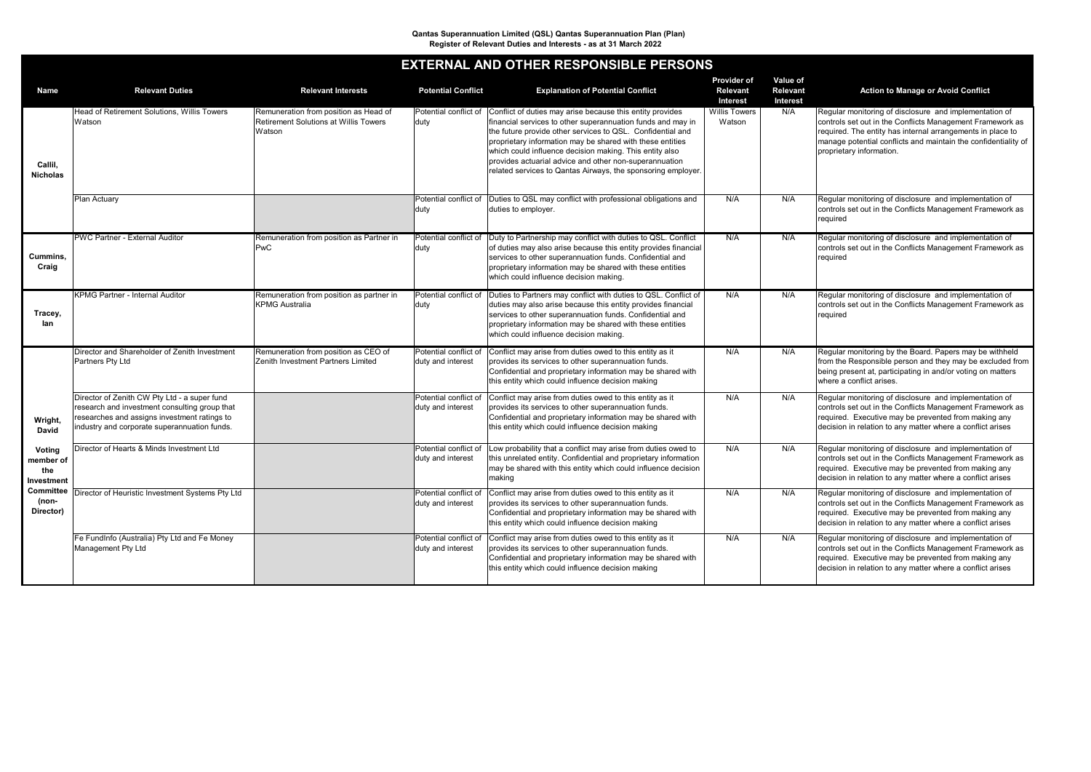| <b>Name</b>                                                                                                                 | <b>Relevant Duties</b>                                                                                                                                                                        | <b>Relevant Interests</b>                                                                       | <b>Potential Conflict</b>                  | <b>Explanation of Potential Conflict</b>                                                                                                                                                                                                                                                                                                                                                                                                 | <b>Provider of</b><br><b>Relevant</b><br><b>Interest</b> | Value of<br><b>Relevant</b><br><b>Interest</b> | <b>Action to Manage or Avoid Conflict</b>                                                                                                                                                                                                                                       |
|-----------------------------------------------------------------------------------------------------------------------------|-----------------------------------------------------------------------------------------------------------------------------------------------------------------------------------------------|-------------------------------------------------------------------------------------------------|--------------------------------------------|------------------------------------------------------------------------------------------------------------------------------------------------------------------------------------------------------------------------------------------------------------------------------------------------------------------------------------------------------------------------------------------------------------------------------------------|----------------------------------------------------------|------------------------------------------------|---------------------------------------------------------------------------------------------------------------------------------------------------------------------------------------------------------------------------------------------------------------------------------|
| Callil,<br><b>Nicholas</b>                                                                                                  | <b>Head of Retirement Solutions, Willis Towers</b><br>Watson                                                                                                                                  | Remuneration from position as Head of<br><b>Retirement Solutions at Willis Towers</b><br>Watson | Potential conflict of<br>duty              | Conflict of duties may arise because this entity provides<br>financial services to other superannuation funds and may in<br>the future provide other services to QSL. Confidential and<br>proprietary information may be shared with these entities<br>which could influence decision making. This entity also<br>provides actuarial advice and other non-superannuation<br>related services to Qantas Airways, the sponsoring employer. | <b>Willis Towers</b><br>Watson                           | N/A                                            | Regular monitoring of disclosure and implementation of<br>controls set out in the Conflicts Management Framework as<br>required. The entity has internal arrangements in place to<br>manage potential conflicts and maintain the confidentiality of<br>proprietary information. |
|                                                                                                                             | <b>Plan Actuary</b>                                                                                                                                                                           |                                                                                                 | Potential conflict of<br> duty             | Duties to QSL may conflict with professional obligations and<br>duties to employer.                                                                                                                                                                                                                                                                                                                                                      | N/A                                                      | N/A                                            | Regular monitoring of disclosure and implementation of<br>controls set out in the Conflicts Management Framework as<br>required                                                                                                                                                 |
| Cummins,<br>Craig                                                                                                           | <b>PWC Partner - External Auditor</b>                                                                                                                                                         | Remuneration from position as Partner in<br>PwC                                                 | Potential conflict of<br> duty             | Duty to Partnership may conflict with duties to QSL. Conflict<br>of duties may also arise because this entity provides financial<br>services to other superannuation funds. Confidential and<br>proprietary information may be shared with these entities<br>which could influence decision making.                                                                                                                                      | N/A                                                      | N/A                                            | Regular monitoring of disclosure and implementation of<br>controls set out in the Conflicts Management Framework as<br>required                                                                                                                                                 |
| Tracey,<br>lan                                                                                                              | <b>KPMG Partner - Internal Auditor</b>                                                                                                                                                        | Remuneration from position as partner in<br><b>KPMG Australia</b>                               | Potential conflict of<br> duty             | Duties to Partners may conflict with duties to QSL. Conflict of<br>duties may also arise because this entity provides financial<br>services to other superannuation funds. Confidential and<br>proprietary information may be shared with these entities<br>which could influence decision making.                                                                                                                                       | N/A                                                      | N/A                                            | Regular monitoring of disclosure and implementation of<br>controls set out in the Conflicts Management Framework as<br>required                                                                                                                                                 |
|                                                                                                                             | Director and Shareholder of Zenith Investment<br>Partners Pty Ltd                                                                                                                             | Remuneration from position as CEO of<br><b>Zenith Investment Partners Limited</b>               | Potential conflict of<br>duty and interest | Conflict may arise from duties owed to this entity as it<br>provides its services to other superannuation funds.<br>Confidential and proprietary information may be shared with<br>this entity which could influence decision making                                                                                                                                                                                                     | N/A                                                      | N/A                                            | Regular monitoring by the Board. Papers may be withheld<br>from the Responsible person and they may be excluded from<br>being present at, participating in and/or voting on matters<br>where a conflict arises.                                                                 |
| Wright,<br><b>David</b><br><b>Voting</b><br>member of<br>the<br><b>Investment</b><br><b>Committee</b><br>(non-<br>Director) | Director of Zenith CW Pty Ltd - a super fund<br>research and investment consulting group that<br>researches and assigns investment ratings to<br>industry and corporate superannuation funds. |                                                                                                 | Potential conflict of<br>duty and interest | Conflict may arise from duties owed to this entity as it<br>provides its services to other superannuation funds.<br>Confidential and proprietary information may be shared with<br>this entity which could influence decision making                                                                                                                                                                                                     | N/A                                                      | N/A                                            | Regular monitoring of disclosure and implementation of<br>controls set out in the Conflicts Management Framework as<br>required. Executive may be prevented from making any<br>decision in relation to any matter where a conflict arises                                       |
|                                                                                                                             | Director of Hearts & Minds Investment Ltd                                                                                                                                                     |                                                                                                 | Potential conflict of<br>duty and interest | Low probability that a conflict may arise from duties owed to<br>this unrelated entity. Confidential and proprietary information<br>may be shared with this entity which could influence decision<br>making                                                                                                                                                                                                                              | N/A                                                      | N/A                                            | Regular monitoring of disclosure and implementation of<br>controls set out in the Conflicts Management Framework as<br>required. Executive may be prevented from making any<br>decision in relation to any matter where a conflict arises                                       |
|                                                                                                                             | Director of Heuristic Investment Systems Pty Ltd                                                                                                                                              |                                                                                                 | Potential conflict of<br>duty and interest | Conflict may arise from duties owed to this entity as it<br>provides its services to other superannuation funds.<br>Confidential and proprietary information may be shared with<br>this entity which could influence decision making                                                                                                                                                                                                     | N/A                                                      | N/A                                            | Regular monitoring of disclosure and implementation of<br>controls set out in the Conflicts Management Framework as<br>required. Executive may be prevented from making any<br>decision in relation to any matter where a conflict arises                                       |
|                                                                                                                             | Fe FundInfo (Australia) Pty Ltd and Fe Money<br>Management Pty Ltd                                                                                                                            |                                                                                                 | Potential conflict of<br>duty and interest | Conflict may arise from duties owed to this entity as it<br>provides its services to other superannuation funds.<br>Confidential and proprietary information may be shared with<br>this entity which could influence decision making                                                                                                                                                                                                     | N/A                                                      | N/A                                            | Regular monitoring of disclosure and implementation of<br>controls set out in the Conflicts Management Framework as<br>required. Executive may be prevented from making any<br>decision in relation to any matter where a conflict arises                                       |

## **EXTERNAL AND OTHER RESPONSIBLE PERSONS**